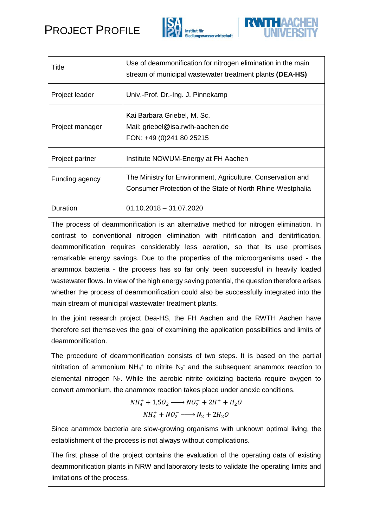





| Title           | Use of deammonification for nitrogen elimination in the main<br>stream of municipal wastewater treatment plants (DEA-HS)  |
|-----------------|---------------------------------------------------------------------------------------------------------------------------|
| Project leader  | Univ.-Prof. Dr.-Ing. J. Pinnekamp                                                                                         |
| Project manager | Kai Barbara Griebel, M. Sc.<br>Mail: griebel@isa.rwth-aachen.de<br>FON: +49 (0)241 80 25215                               |
| Project partner | Institute NOWUM-Energy at FH Aachen                                                                                       |
| Funding agency  | The Ministry for Environment, Agriculture, Conservation and<br>Consumer Protection of the State of North Rhine-Westphalia |
| Duration        | $01.10.2018 - 31.07.2020$                                                                                                 |

The process of deammonification is an alternative method for nitrogen elimination. In contrast to conventional nitrogen elimination with nitrification and denitrification, deammonification requires considerably less aeration, so that its use promises remarkable energy savings. Due to the properties of the microorganisms used - the anammox bacteria - the process has so far only been successful in heavily loaded wastewater flows. In view of the high energy saving potential, the question therefore arises whether the process of deammonification could also be successfully integrated into the main stream of municipal wastewater treatment plants.

In the joint research project Dea-HS, the FH Aachen and the RWTH Aachen have therefore set themselves the goal of examining the application possibilities and limits of deammonification.

The procedure of deammonification consists of two steps. It is based on the partial nitritation of ammonium NH<sub>4</sub><sup>+</sup> to nitrite N<sub>2</sub> and the subsequent anammox reaction to elemental nitrogen  $N_2$ . While the aerobic nitrite oxidizing bacteria require oxygen to convert ammonium, the anammox reaction takes place under anoxic conditions.

$$
NH_4^+ + 1,5O_2 \longrightarrow NO_2^- + 2H^+ + H_2O
$$
  

$$
NH_4^+ + NO_2^- \longrightarrow N_2 + 2H_2O
$$

Since anammox bacteria are slow-growing organisms with unknown optimal living, the establishment of the process is not always without complications.

The first phase of the project contains the evaluation of the operating data of existing deammonification plants in NRW and laboratory tests to validate the operating limits and limitations of the process.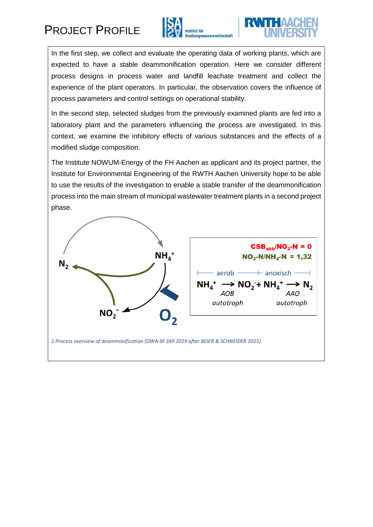## PROJECT PROFILE





In the first step, we collect and evaluate the operating data of working plants, which are expected to have a stable deammonification operation. Here we consider different process designs in process water and landfill leachate treatment and collect the experience of the plant operators. In particular, the observation covers the influence of process parameters and control settings on operational stability.

In the second step, selected sludges from the previously examined plants are fed into a laboratory plant and the parameters influencing the process are investigated. In this context, we examine the inhibitory effects of various substances and the effects of a modified sludge composition.

The Institute NOWUM-Energy of the FH Aachen as applicant and its project partner, the Institute for Environmental Engineering of the RWTH Aachen University hope to be able to use the results of the investigation to enable a stable transfer of the deammonification process into the main stream of municipal wastewater treatment plants in a second project phase.